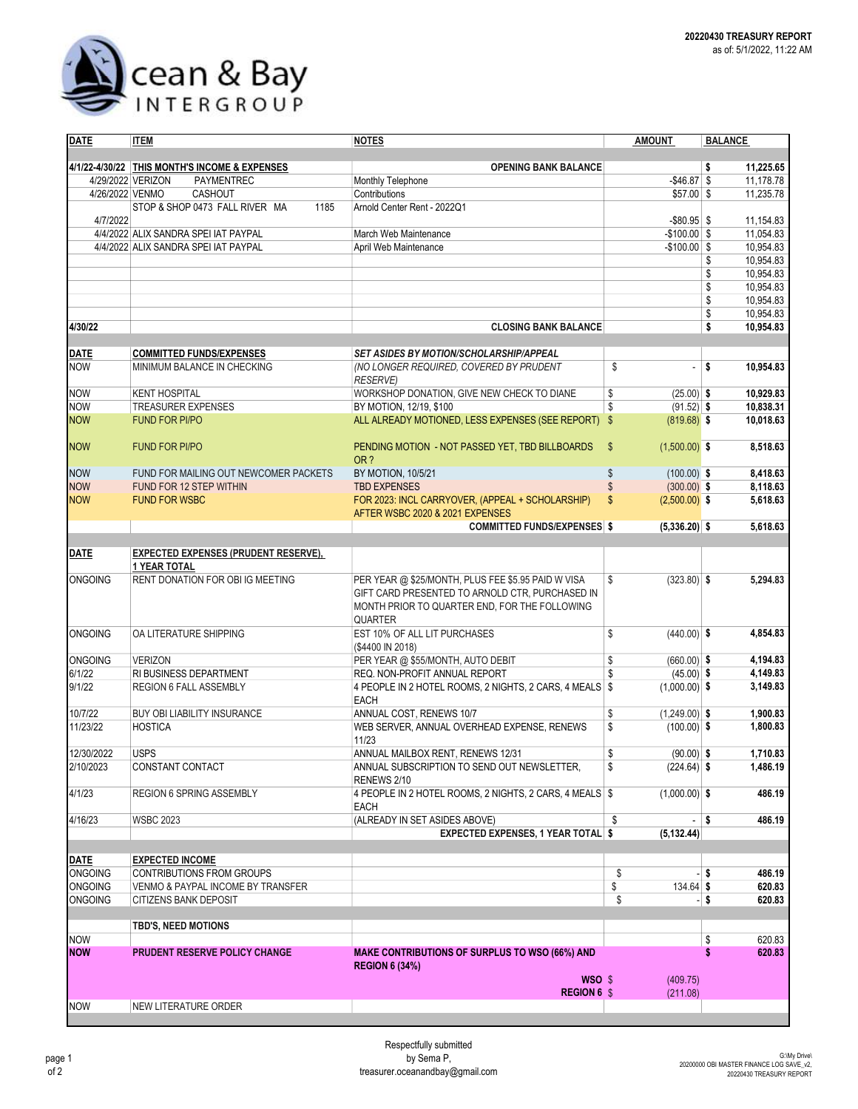

| <b>DATE</b>              | <b>ITEM</b>                                       | <b>NOTES</b>                                                          | <b>AMOUNT</b>                    | <b>BALANCE</b>       |  |  |
|--------------------------|---------------------------------------------------|-----------------------------------------------------------------------|----------------------------------|----------------------|--|--|
|                          |                                                   |                                                                       |                                  |                      |  |  |
|                          | 4/1/22-4/30/22 THIS MONTH'S INCOME & EXPENSES     | <b>OPENING BANK BALANCE</b>                                           |                                  | 11,225.65<br>\$      |  |  |
| 4/26/2022 VENMO          | 4/29/2022 VERIZON<br>PAYMENTREC                   | Monthly Telephone                                                     | $-$ \$46.87 \$                   | 11,178.78            |  |  |
|                          | CASHOUT<br>STOP & SHOP 0473 FALL RIVER MA<br>1185 | Contributions<br>Arnold Center Rent - 2022Q1                          | $$57.00$ \$                      | 11,235.78            |  |  |
| 4/7/2022                 |                                                   |                                                                       | $-$ \$80.95 \$                   | 11,154.83            |  |  |
|                          | 4/4/2022 ALIX SANDRA SPEI IAT PAYPAL              | March Web Maintenance                                                 | $-$100.00$ \$                    | 11,054.83            |  |  |
|                          | 4/4/2022 ALIX SANDRA SPEI IAT PAYPAL              | April Web Maintenance                                                 | $-$100.00$ \$                    | 10,954.83            |  |  |
|                          |                                                   |                                                                       |                                  | 10,954.83<br>\$      |  |  |
|                          |                                                   |                                                                       |                                  | \$<br>10,954.83      |  |  |
|                          |                                                   |                                                                       |                                  | 10,954.83<br>\$      |  |  |
|                          |                                                   |                                                                       |                                  | \$<br>10,954.83      |  |  |
|                          |                                                   |                                                                       |                                  | \$<br>10,954.83      |  |  |
| 4/30/22                  |                                                   | <b>CLOSING BANK BALANCE</b>                                           |                                  | \$<br>10,954.83      |  |  |
| <b>DATE</b>              | <b>COMMITTED FUNDS/EXPENSES</b>                   | <b>SET ASIDES BY MOTION/SCHOLARSHIP/APPEAL</b>                        |                                  |                      |  |  |
| <b>NOW</b>               | MINIMUM BALANCE IN CHECKING                       | (NO LONGER REQUIRED, COVERED BY PRUDENT                               | \$<br>$-$ \$                     | 10,954.83            |  |  |
|                          |                                                   | <b>RESERVE)</b>                                                       |                                  |                      |  |  |
| <b>NOW</b>               | <b>KENT HOSPITAL</b>                              | WORKSHOP DONATION, GIVE NEW CHECK TO DIANE                            | \$<br>$(25.00)$ \$               | 10,929.83            |  |  |
| <b>NOW</b>               | <b>TREASURER EXPENSES</b>                         | BY MOTION, 12/19, \$100                                               | \$<br>$(91.52)$ \$               | 10,838.31            |  |  |
| <b>NOW</b>               | <b>FUND FOR PI/PO</b>                             | ALL ALREADY MOTIONED, LESS EXPENSES (SEE REPORT) \$                   | $(819.68)$ \$                    | 10,018.63            |  |  |
|                          |                                                   |                                                                       |                                  |                      |  |  |
| <b>NOW</b>               | <b>FUND FOR PI/PO</b>                             | PENDING MOTION - NOT PASSED YET, TBD BILLBOARDS                       | $\mathsf{\$}$<br>$(1,500.00)$ \$ | 8,518.63             |  |  |
|                          |                                                   | OR?                                                                   |                                  |                      |  |  |
| <b>NOW</b>               | FUND FOR MAILING OUT NEWCOMER PACKETS             | BY MOTION, 10/5/21                                                    | \$<br>$(100.00)$ \$              | 8,418.63             |  |  |
| <b>NOW</b>               | FUND FOR 12 STEP WITHIN                           | <b>TBD EXPENSES</b>                                                   | \$<br>$(300.00)$ \$              | 8,118.63             |  |  |
| <b>NOW</b>               | <b>FUND FOR WSBC</b>                              | FOR 2023: INCL CARRYOVER, (APPEAL + SCHOLARSHIP)                      | \$<br>$(2,500.00)$ \$            | 5,618.63             |  |  |
|                          |                                                   | AFTER WSBC 2020 & 2021 EXPENSES<br><b>COMMITTED FUNDS/EXPENSES \$</b> | $(5,336.20)$ \$                  | 5,618.63             |  |  |
|                          |                                                   |                                                                       |                                  |                      |  |  |
| DATE                     | <b>EXPECTED EXPENSES (PRUDENT RESERVE),</b>       |                                                                       |                                  |                      |  |  |
|                          | <b>1 YEAR TOTAL</b>                               |                                                                       |                                  |                      |  |  |
| <b>ONGOING</b>           | RENT DONATION FOR OBI IG MEETING                  | PER YEAR @ \$25/MONTH, PLUS FEE \$5.95 PAID W VISA                    | \$<br>$(323.80)$ \$              | 5,294.83             |  |  |
|                          |                                                   | GIFT CARD PRESENTED TO ARNOLD CTR, PURCHASED IN                       |                                  |                      |  |  |
|                          |                                                   | MONTH PRIOR TO QUARTER END, FOR THE FOLLOWING                         |                                  |                      |  |  |
|                          |                                                   | <b>QUARTER</b>                                                        |                                  |                      |  |  |
| <b>ONGOING</b>           | OA LITERATURE SHIPPING                            | EST 10% OF ALL LIT PURCHASES                                          | \$<br>$(440.00)$ \$              | 4,854.83             |  |  |
|                          |                                                   | (\$4400 IN 2018)                                                      |                                  |                      |  |  |
| <b>ONGOING</b><br>6/1/22 | <b>VERIZON</b><br>RI BUSINESS DEPARTMENT          | PER YEAR @ \$55/MONTH, AUTO DEBIT<br>REQ. NON-PROFIT ANNUAL REPORT    | \$<br>$(660.00)$ \$<br>\$        | 4,194.83<br>4,149.83 |  |  |
| 9/1/22                   | REGION 6 FALL ASSEMBLY                            | 4 PEOPLE IN 2 HOTEL ROOMS, 2 NIGHTS, 2 CARS, 4 MEALS \$               | $(45.00)$ \$<br>$(1,000.00)$ \$  | 3,149.83             |  |  |
|                          |                                                   | <b>EACH</b>                                                           |                                  |                      |  |  |
| 10/7/22                  | BUY OBI LIABILITY INSURANCE                       | ANNUAL COST, RENEWS 10/7                                              | \$<br>$(1,249.00)$ \$            | 1,900.83             |  |  |
| 11/23/22                 | <b>HOSTICA</b>                                    | WEB SERVER, ANNUAL OVERHEAD EXPENSE, RENEWS                           | \$<br>$(100.00)$ \$              | 1,800.83             |  |  |
|                          |                                                   | 11/23                                                                 |                                  |                      |  |  |
| 12/30/2022               | <b>USPS</b>                                       | ANNUAL MAILBOX RENT, RENEWS 12/31                                     | \$<br>$(90.00)$ \$               | 1,710.83             |  |  |
| 2/10/2023                | CONSTANT CONTACT                                  | ANNUAL SUBSCRIPTION TO SEND OUT NEWSLETTER,                           | \$<br>$(224.64)$ \$              | 1,486.19             |  |  |
|                          |                                                   | RENEWS 2/10                                                           |                                  |                      |  |  |
| 4/1/23                   | <b>REGION 6 SPRING ASSEMBLY</b>                   | 4 PEOPLE IN 2 HOTEL ROOMS, 2 NIGHTS, 2 CARS, 4 MEALS \$               | $(1,000.00)$ \$                  | 486.19               |  |  |
|                          |                                                   | EACH                                                                  |                                  |                      |  |  |
| 4/16/23                  | <b>WSBC 2023</b>                                  | (ALREADY IN SET ASIDES ABOVE)                                         | \$<br>- \$                       | 486.19               |  |  |
|                          |                                                   | <b>EXPECTED EXPENSES, 1 YEAR TOTAL \$</b>                             | (5, 132.44)                      |                      |  |  |
| DATE                     | <b>EXPECTED INCOME</b>                            |                                                                       |                                  |                      |  |  |
| <b>ONGOING</b>           | <b>CONTRIBUTIONS FROM GROUPS</b>                  |                                                                       | \$                               | $-1$ \$<br>486.19    |  |  |
| <b>ONGOING</b>           | VENMO & PAYPAL INCOME BY TRANSFER                 |                                                                       | \$<br>134.64 \$                  | 620.83               |  |  |
| <b>ONGOING</b>           | <b>CITIZENS BANK DEPOSIT</b>                      |                                                                       | \$                               | - \$<br>620.83       |  |  |
|                          |                                                   |                                                                       |                                  |                      |  |  |
|                          | <b>TBD'S, NEED MOTIONS</b>                        |                                                                       |                                  |                      |  |  |
| <b>NOW</b>               |                                                   |                                                                       |                                  | \$<br>620.83         |  |  |
| <b>NOW</b>               | <b>PRUDENT RESERVE POLICY CHANGE</b>              | <b>MAKE CONTRIBUTIONS OF SURPLUS TO WSO (66%) AND</b>                 |                                  | \$<br>620.83         |  |  |
|                          |                                                   | <b>REGION 6 (34%)</b><br>WSO \$                                       | (409.75)                         |                      |  |  |
|                          |                                                   | <b>REGION 6 \$</b>                                                    | (211.08)                         |                      |  |  |
| <b>NOW</b>               | NEW LITERATURE ORDER                              |                                                                       |                                  |                      |  |  |
|                          |                                                   |                                                                       |                                  |                      |  |  |